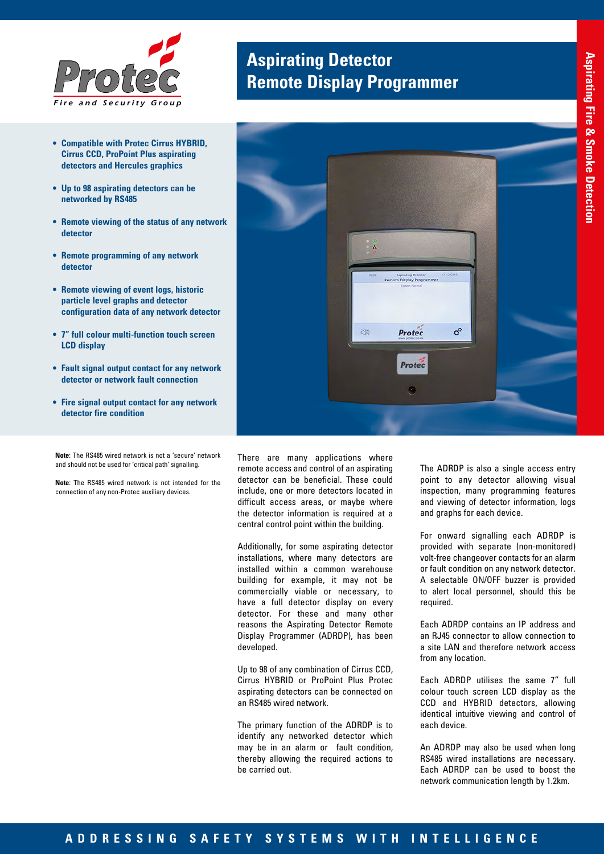

- **• Compatible with Protec Cirrus HYBRID, Cirrus CCD, ProPoint Plus aspirating detectors and Hercules graphics**
- **• Up to 98 aspirating detectors can be networked by RS485**
- **• Remote viewing of the status of any network detector**
- **• Remote programming of any network detector**
- **• Remote viewing of event logs, historic particle level graphs and detector configuration data of any network detector**
- **• 7" full colour multi-function touch screen LCD display**
- **• Fault signal output contact for any network detector or network fault connection**
- **• Fire signal output contact for any network detector fire condition**
- **Note**: The RS485 wired network is not a 'secure' network and should not be used for 'critical path' signalling.

**Note**: The RS485 wired network is not intended for the connection of any non-Protec auxiliary devices.

# **Aspirating Detector Remote Display Programmer**



There are many applications where remote access and control of an aspirating detector can be beneficial. These could include, one or more detectors located in difficult access areas, or maybe where the detector information is required at a central control point within the building.

Additionally, for some aspirating detector installations, where many detectors are installed within a common warehouse building for example, it may not be commercially viable or necessary, to have a full detector display on every detector. For these and many other reasons the Aspirating Detector Remote Display Programmer (ADRDP), has been developed.

Up to 98 of any combination of Cirrus CCD, Cirrus HYBRID or ProPoint Plus Protec aspirating detectors can be connected on an RS485 wired network.

The primary function of the ADRDP is to identify any networked detector which may be in an alarm or fault condition, thereby allowing the required actions to be carried out.

The ADRDP is also a single access entry point to any detector allowing visual inspection, many programming features and viewing of detector information, logs and graphs for each device.

For onward signalling each ADRDP is provided with separate (non-monitored) volt-free changeover contacts for an alarm or fault condition on any network detector. A selectable ON/OFF buzzer is provided to alert local personnel, should this be required.

Each ADRDP contains an IP address and an RJ45 connector to allow connection to a site LAN and therefore network access from any location.

Each ADRDP utilises the same 7" full colour touch screen LCD display as the CCD and HYBRID detectors, allowing identical intuitive viewing and control of each device.

An ADRDP may also be used when long RS485 wired installations are necessary. Each ADRDP can be used to boost the network communication length by 1.2km.